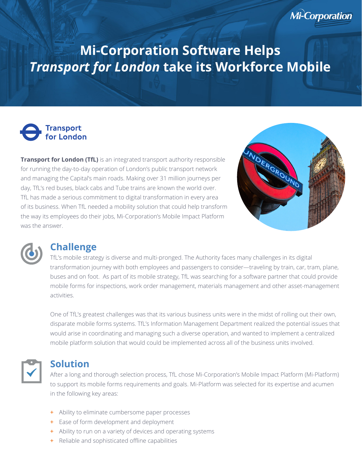# **Mi-Corporation Software Helps** *Transport for London* **take its Workforce Mobile**

## **Transport**<br>for London

**Transport for London (TfL)** is an integrated transport authority responsible for running the day-to-day operation of London's public transport network and managing the Capital's main roads. Making over 31 million journeys per day, TfL's red buses, black cabs and Tube trains are known the world over. TfL has made a serious commitment to digital transformation in every area of its business. When TfL needed a mobility solution that could help transform the way its employees do their jobs, Mi-Corporation's Mobile Impact Platform was the answer.



**Mi-Corporation** 



### **Challenge**

TfL's mobile strategy is diverse and multi-pronged. The Authority faces many challenges in its digital transformation journey with both employees and passengers to consider—traveling by train, car, tram, plane, buses and on foot. As part of its mobile strategy, TfL was searching for a software partner that could provide mobile forms for inspections, work order management, materials management and other asset-management activities.

One of TfL's greatest challenges was that its various business units were in the midst of rolling out their own, disparate mobile forms systems. TfL's Information Management Department realized the potential issues that would arise in coordinating and managing such a diverse operation, and wanted to implement a centralized mobile platform solution that would could be implemented across all of the business units involved.



### **Solution**

After a long and thorough selection process, TfL chose Mi-Corporation's Mobile Impact Platform (Mi-Platform) to support its mobile forms requirements and goals. Mi-Platform was selected for its expertise and acumen in the following key areas:

- Ability to eliminate cumbersome paper processes **+**
- Ease of form development and deployment **+**
- Ability to run on a variety of devices and operating systems **+**
- Reliable and sophisticated offline capabilities **+**